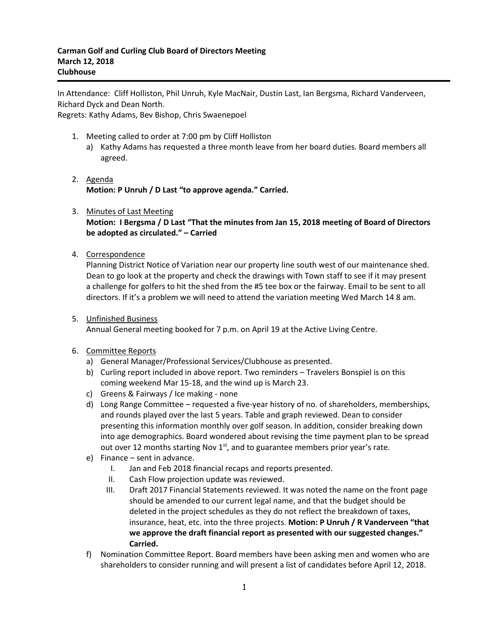In Attendance: Cliff Holliston, Phil Unruh, Kyle MacNair, Dustin Last, Ian Bergsma, Richard Vanderveen, Richard Dyck and Dean North.

Regrets: Kathy Adams, Bev Bishop, Chris Swaenepoel

- 1. Meeting called to order at 7:00 pm by Cliff Holliston
	- a) Kathy Adams has requested a three month leave from her board duties. Board members all agreed.
- 2. Agenda **Motion: P Unruh / D Last "to approve agenda." Carried.**
- 3. Minutes of Last Meeting **Motion: I Bergsma / D Last "That the minutes from Jan 15, 2018 meeting of Board of Directors be adopted as circulated." – Carried**
- 4. Correspondence

Planning District Notice of Variation near our property line south west of our maintenance shed. Dean to go look at the property and check the drawings with Town staff to see if it may present a challenge for golfers to hit the shed from the #5 tee box or the fairway. Email to be sent to all directors. If it's a problem we will need to attend the variation meeting Wed March 14 8 am.

5. Unfinished Business Annual General meeting booked for 7 p.m. on April 19 at the Active Living Centre.

## 6. Committee Reports

- a) General Manager/Professional Services/Clubhouse as presented.
- b) Curling report included in above report. Two reminders Travelers Bonspiel is on this coming weekend Mar 15-18, and the wind up is March 23.
- c) Greens & Fairways / Ice making none
- d) Long Range Committee requested a five-year history of no. of shareholders, memberships, and rounds played over the last 5 years. Table and graph reviewed. Dean to consider presenting this information monthly over golf season. In addition, consider breaking down into age demographics. Board wondered about revising the time payment plan to be spread out over 12 months starting Nov  $1<sup>st</sup>$ , and to guarantee members prior year's rate.
- e) Finance sent in advance.
	- I. Jan and Feb 2018 financial recaps and reports presented.
	- II. Cash Flow projection update was reviewed.
	- III. Draft 2017 Financial Statements reviewed. It was noted the name on the front page should be amended to our current legal name, and that the budget should be deleted in the project schedules as they do not reflect the breakdown of taxes, insurance, heat, etc. into the three projects. **Motion: P Unruh / R Vanderveen "that we approve the draft financial report as presented with our suggested changes." Carried.**
- f) Nomination Committee Report. Board members have been asking men and women who are shareholders to consider running and will present a list of candidates before April 12, 2018.